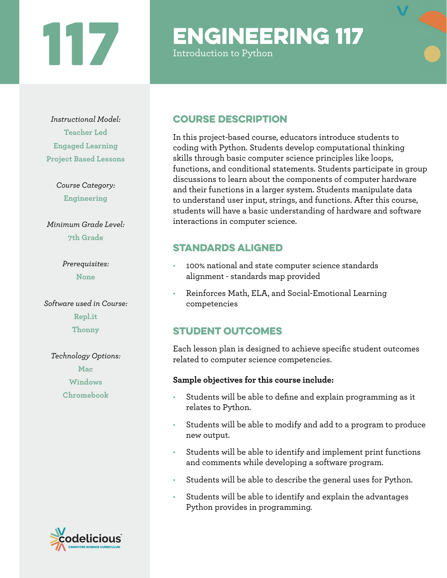# 117

## ENGINEERING 117

Introduction to Python



*Course Category:* **Engineering**

*Minimum Grade Level:* **7th Grade**

> *Prerequisites:* **None**

*Software used in Course:* **Repl.it Thonny**

*Technology Options:* **Mac Windows Chromebook**



### Course Description

In this project-based course, educators introduce students to coding with Python. Students develop computational thinking skills through basic computer science principles like loops, functions, and conditional statements. Students participate in group discussions to learn about the components of computer hardware and their functions in a larger system. Students manipulate data to understand user input, strings, and functions. After this course, students will have a basic understanding of hardware and software interactions in computer science.

### Standards aligned

- 100% national and state computer science standards alignment - standards map provided
- Reinforces Math, ELA, and Social-Emotional Learning competencies

### STUDENT OUTCOMES

Each lesson plan is designed to achieve specific student outcomes related to computer science competencies.

### **Sample objectives for this course include:**

- Students will be able to define and explain programming as it relates to Python.
- Students will be able to modify and add to a program to produce new output.
- Students will be able to identify and implement print functions and comments while developing a software program.
- Students will be able to describe the general uses for Python.
- Students will be able to identify and explain the advantages Python provides in programming.